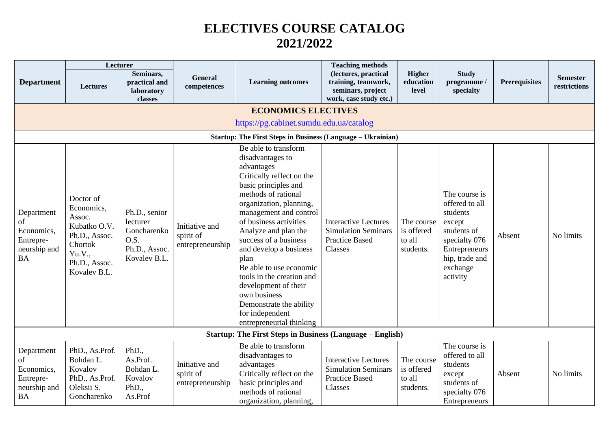## **ELECTIVES COURSE CATALOG 2021/2022**

|                                                                          | Lecturer                                                                                                                 |                                                                                   |                                                 |                                                                                                                                                                                                                                                                                                                                                                                                                                                                                | <b>Teaching methods</b>                                                                       |                                                 |                                                                                                                                                  |                      |                                 |
|--------------------------------------------------------------------------|--------------------------------------------------------------------------------------------------------------------------|-----------------------------------------------------------------------------------|-------------------------------------------------|--------------------------------------------------------------------------------------------------------------------------------------------------------------------------------------------------------------------------------------------------------------------------------------------------------------------------------------------------------------------------------------------------------------------------------------------------------------------------------|-----------------------------------------------------------------------------------------------|-------------------------------------------------|--------------------------------------------------------------------------------------------------------------------------------------------------|----------------------|---------------------------------|
| <b>Department</b>                                                        | <b>Lectures</b>                                                                                                          | Seminars,<br>practical and<br>laboratory<br>classes                               | General<br>competences                          | <b>Learning outcomes</b>                                                                                                                                                                                                                                                                                                                                                                                                                                                       | (lectures, practical<br>training, teamwork,<br>seminars, project<br>work, case study etc.)    | Higher<br>education<br>level                    | <b>Study</b><br>programme/<br>specialty                                                                                                          | <b>Prerequisites</b> | <b>Semester</b><br>restrictions |
|                                                                          |                                                                                                                          |                                                                                   |                                                 | <b>ECONOMICS ELECTIVES</b>                                                                                                                                                                                                                                                                                                                                                                                                                                                     |                                                                                               |                                                 |                                                                                                                                                  |                      |                                 |
|                                                                          |                                                                                                                          |                                                                                   |                                                 | https://pg.cabinet.sumdu.edu.ua/catalog                                                                                                                                                                                                                                                                                                                                                                                                                                        |                                                                                               |                                                 |                                                                                                                                                  |                      |                                 |
|                                                                          |                                                                                                                          |                                                                                   |                                                 | <b>Startup: The First Steps in Business (Language - Ukrainian)</b>                                                                                                                                                                                                                                                                                                                                                                                                             |                                                                                               |                                                 |                                                                                                                                                  |                      |                                 |
| Department<br>of<br>Economics,<br>Entrepre-<br>neurship and<br><b>BA</b> | Doctor of<br>Economics,<br>Assoc.<br>Kubatko O.V.<br>Ph.D., Assoc.<br>Chortok<br>Yu.V.,<br>Ph.D., Assoc.<br>Kovalev B.L. | Ph.D., senior<br>lecturer<br>Goncharenko<br>O.S.<br>Ph.D., Assoc.<br>Kovalev B.L. | Initiative and<br>spirit of<br>entrepreneurship | Be able to transform<br>disadvantages to<br>advantages<br>Critically reflect on the<br>basic principles and<br>methods of rational<br>organization, planning,<br>management and control<br>of business activities<br>Analyze and plan the<br>success of a business<br>and develop a business<br>plan<br>Be able to use economic<br>tools in the creation and<br>development of their<br>own business<br>Demonstrate the ability<br>for independent<br>entrepreneurial thinking | <b>Interactive Lectures</b><br><b>Simulation Seminars</b><br><b>Practice Based</b><br>Classes | The course<br>is offered<br>to all<br>students. | The course is<br>offered to all<br>students<br>except<br>students of<br>specialty 076<br>Entrepreneurs<br>hip, trade and<br>exchange<br>activity | Absent               | No limits                       |
|                                                                          |                                                                                                                          |                                                                                   |                                                 | <b>Startup: The First Steps in Business (Language – English)</b>                                                                                                                                                                                                                                                                                                                                                                                                               |                                                                                               |                                                 |                                                                                                                                                  |                      |                                 |
| Department<br>of<br>Economics,<br>Entrepre-<br>neurship and<br><b>BA</b> | PhD., As.Prof.<br>Bohdan L.<br>Kovalov<br>PhD., As.Prof.<br>Oleksii S.<br>Goncharenko                                    | PhD.,<br>As.Prof.<br>Bohdan L.<br>Kovalov<br>PhD.,<br>As.Prof                     | Initiative and<br>spirit of<br>entrepreneurship | Be able to transform<br>disadvantages to<br>advantages<br>Critically reflect on the<br>basic principles and<br>methods of rational<br>organization, planning,                                                                                                                                                                                                                                                                                                                  | <b>Interactive Lectures</b><br><b>Simulation Seminars</b><br><b>Practice Based</b><br>Classes | The course<br>is offered<br>to all<br>students. | The course is<br>offered to all<br>students<br>except<br>students of<br>specialty 076<br>Entrepreneurs                                           | Absent               | No limits                       |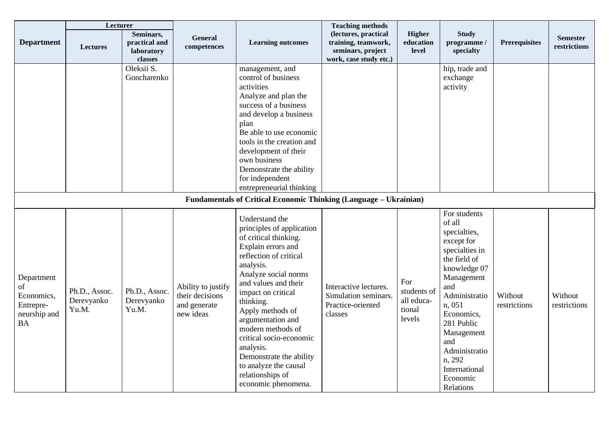|                                                                          | Lecturer                             |                                                     |                                                                    |                                                                                                                                                                                                                                                                                                                                                                                                                           | <b>Teaching methods</b>                                                                    |                                                      |                                                                                                                                                                                                                                                                              |                         |                                 |
|--------------------------------------------------------------------------|--------------------------------------|-----------------------------------------------------|--------------------------------------------------------------------|---------------------------------------------------------------------------------------------------------------------------------------------------------------------------------------------------------------------------------------------------------------------------------------------------------------------------------------------------------------------------------------------------------------------------|--------------------------------------------------------------------------------------------|------------------------------------------------------|------------------------------------------------------------------------------------------------------------------------------------------------------------------------------------------------------------------------------------------------------------------------------|-------------------------|---------------------------------|
| <b>Department</b>                                                        | Lectures                             | Seminars,<br>practical and<br>laboratory<br>classes | <b>General</b><br>competences                                      | <b>Learning outcomes</b>                                                                                                                                                                                                                                                                                                                                                                                                  | (lectures, practical<br>training, teamwork,<br>seminars, project<br>work, case study etc.) | <b>Higher</b><br>education<br>level                  | <b>Study</b><br>programme /<br>specialty                                                                                                                                                                                                                                     | <b>Prerequisites</b>    | <b>Semester</b><br>restrictions |
|                                                                          |                                      | Oleksii S.<br>Goncharenko                           |                                                                    | management, and<br>control of business<br>activities<br>Analyze and plan the<br>success of a business<br>and develop a business<br>plan<br>Be able to use economic<br>tools in the creation and<br>development of their<br>own business<br>Demonstrate the ability<br>for independent<br>entrepreneurial thinking                                                                                                         |                                                                                            |                                                      | hip, trade and<br>exchange<br>activity                                                                                                                                                                                                                                       |                         |                                 |
|                                                                          |                                      |                                                     |                                                                    | <b>Fundamentals of Critical Economic Thinking (Language - Ukrainian)</b>                                                                                                                                                                                                                                                                                                                                                  |                                                                                            |                                                      |                                                                                                                                                                                                                                                                              |                         |                                 |
| Department<br>of<br>Economics,<br>Entrepre-<br>neurship and<br><b>BA</b> | Ph.D., Assoc.<br>Derevyanko<br>Yu.M. | Ph.D., Assoc.<br>Derevyanko<br>Yu.M.                | Ability to justify<br>their decisions<br>and generate<br>new ideas | Understand the<br>principles of application<br>of critical thinking.<br>Explain errors and<br>reflection of critical<br>analysis.<br>Analyze social norms<br>and values and their<br>impact on critical<br>thinking.<br>Apply methods of<br>argumentation and<br>modern methods of<br>critical socio-economic<br>analysis.<br>Demonstrate the ability<br>to analyze the causal<br>relationships of<br>economic phenomena. | Interactive lectures.<br>Simulation seminars.<br>Practice-oriented<br>classes              | For<br>students of<br>all educa-<br>tional<br>levels | For students<br>of all<br>specialties,<br>except for<br>specialties in<br>the field of<br>knowledge 07<br>Management<br>and<br>Administratio<br>n, 051<br>Economics,<br>281 Public<br>Management<br>and<br>Administratio<br>n, 292<br>International<br>Economic<br>Relations | Without<br>restrictions | Without<br>restrictions         |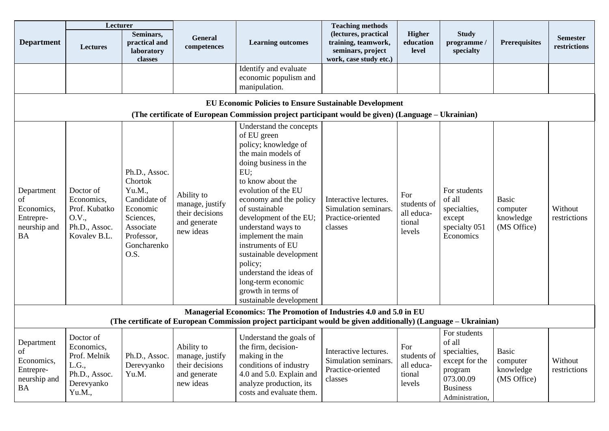|                                                                          | Lecturer                                                                                  |                                                                                                                               |                                                                               |                                                                                                                                                                                                                                                                                                                                                                                                                                                 | <b>Teaching methods</b>                                                                    |                                                      |                                                                                                                        |                                                      |                                 |
|--------------------------------------------------------------------------|-------------------------------------------------------------------------------------------|-------------------------------------------------------------------------------------------------------------------------------|-------------------------------------------------------------------------------|-------------------------------------------------------------------------------------------------------------------------------------------------------------------------------------------------------------------------------------------------------------------------------------------------------------------------------------------------------------------------------------------------------------------------------------------------|--------------------------------------------------------------------------------------------|------------------------------------------------------|------------------------------------------------------------------------------------------------------------------------|------------------------------------------------------|---------------------------------|
| <b>Department</b>                                                        | <b>Lectures</b>                                                                           | Seminars,<br>practical and<br>laboratory<br>classes                                                                           | General<br>competences                                                        | <b>Learning outcomes</b>                                                                                                                                                                                                                                                                                                                                                                                                                        | (lectures, practical<br>training, teamwork,<br>seminars, project<br>work, case study etc.) | <b>Higher</b><br>education<br>level                  | <b>Study</b><br>programme /<br>specialty                                                                               | <b>Prerequisites</b>                                 | <b>Semester</b><br>restrictions |
|                                                                          |                                                                                           |                                                                                                                               |                                                                               | Identify and evaluate<br>economic populism and<br>manipulation.                                                                                                                                                                                                                                                                                                                                                                                 |                                                                                            |                                                      |                                                                                                                        |                                                      |                                 |
|                                                                          |                                                                                           |                                                                                                                               |                                                                               | <b>EU Economic Policies to Ensure Sustainable Development</b><br>(The certificate of European Commission project participant would be given) (Language – Ukrainian)                                                                                                                                                                                                                                                                             |                                                                                            |                                                      |                                                                                                                        |                                                      |                                 |
| Department<br>οf<br>Economics,<br>Entrepre-<br>neurship and<br><b>BA</b> | Doctor of<br>Economics,<br>Prof. Kubatko<br>O.V.,<br>Ph.D., Assoc.<br>Kovalev B.L.        | Ph.D., Assoc.<br>Chortok<br>Yu.M.,<br>Candidate of<br>Economic<br>Sciences,<br>Associate<br>Professor,<br>Goncharenko<br>O.S. | Ability to<br>manage, justify<br>their decisions<br>and generate<br>new ideas | Understand the concepts<br>of EU green<br>policy; knowledge of<br>the main models of<br>doing business in the<br>EU;<br>to know about the<br>evolution of the EU<br>economy and the policy<br>of sustainable<br>development of the EU;<br>understand ways to<br>implement the main<br>instruments of EU<br>sustainable development<br>policy;<br>understand the ideas of<br>long-term economic<br>growth in terms of<br>sustainable development | Interactive lectures.<br>Simulation seminars.<br>Practice-oriented<br>classes              | For<br>students of<br>all educa-<br>tional<br>levels | For students<br>of all<br>specialties,<br>except<br>specialty 051<br>Economics                                         | <b>Basic</b><br>computer<br>knowledge<br>(MS Office) | Without<br>restrictions         |
|                                                                          |                                                                                           |                                                                                                                               |                                                                               | Managerial Economics: The Promotion of Industries 4.0 and 5.0 in EU<br>(The certificate of European Commission project participant would be given additionally) (Language – Ukrainian)                                                                                                                                                                                                                                                          |                                                                                            |                                                      |                                                                                                                        |                                                      |                                 |
| Department<br>of<br>Economics,<br>Entrepre-<br>neurship and<br><b>BA</b> | Doctor of<br>Economics,<br>Prof. Melnik<br>L.G.,<br>Ph.D., Assoc.<br>Derevyanko<br>Yu.M., | Ph.D., Assoc.<br>Derevyanko<br>Yu.M.                                                                                          | Ability to<br>manage, justify<br>their decisions<br>and generate<br>new ideas | Understand the goals of<br>the firm, decision-<br>making in the<br>conditions of industry<br>4.0 and 5.0. Explain and<br>analyze production, its<br>costs and evaluate them.                                                                                                                                                                                                                                                                    | Interactive lectures.<br>Simulation seminars.<br>Practice-oriented<br>classes              | For<br>students of<br>all educa-<br>tional<br>levels | For students<br>of all<br>specialties,<br>except for the<br>program<br>073.00.09<br><b>Business</b><br>Administration, | <b>Basic</b><br>computer<br>knowledge<br>(MS Office) | Without<br>restrictions         |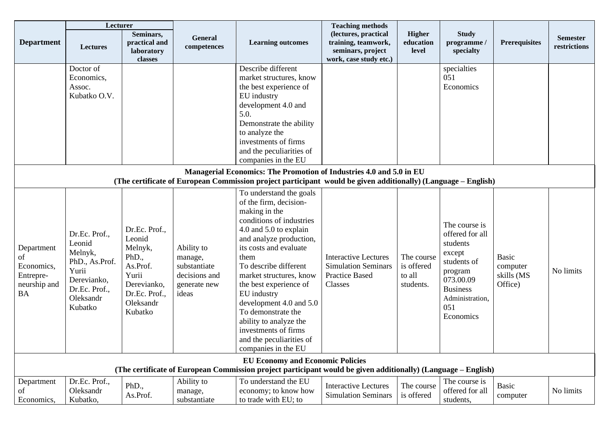|                   | Lecturer                     |                                                     |                        |                                                                                                               | <b>Teaching methods</b>                                                                    |                                     |                                          |                      |                                 |
|-------------------|------------------------------|-----------------------------------------------------|------------------------|---------------------------------------------------------------------------------------------------------------|--------------------------------------------------------------------------------------------|-------------------------------------|------------------------------------------|----------------------|---------------------------------|
| <b>Department</b> | <b>Lectures</b>              | Seminars,<br>practical and<br>laboratory<br>classes | General<br>competences | <b>Learning outcomes</b>                                                                                      | (lectures, practical<br>training, teamwork,<br>seminars, project<br>work, case study etc.) | <b>Higher</b><br>education<br>level | <b>Study</b><br>programme /<br>specialty | <b>Prerequisites</b> | <b>Semester</b><br>restrictions |
|                   | Doctor of                    |                                                     |                        | Describe different                                                                                            |                                                                                            |                                     | specialties                              |                      |                                 |
|                   | Economics,                   |                                                     |                        | market structures, know                                                                                       |                                                                                            |                                     | 051                                      |                      |                                 |
|                   | Assoc.                       |                                                     |                        | the best experience of                                                                                        |                                                                                            |                                     | Economics                                |                      |                                 |
|                   | Kubatko O.V.                 |                                                     |                        | EU industry                                                                                                   |                                                                                            |                                     |                                          |                      |                                 |
|                   |                              |                                                     |                        | development 4.0 and<br>5.0.                                                                                   |                                                                                            |                                     |                                          |                      |                                 |
|                   |                              |                                                     |                        | Demonstrate the ability                                                                                       |                                                                                            |                                     |                                          |                      |                                 |
|                   |                              |                                                     |                        | to analyze the                                                                                                |                                                                                            |                                     |                                          |                      |                                 |
|                   |                              |                                                     |                        | investments of firms                                                                                          |                                                                                            |                                     |                                          |                      |                                 |
|                   |                              |                                                     |                        | and the peculiarities of                                                                                      |                                                                                            |                                     |                                          |                      |                                 |
|                   |                              |                                                     |                        | companies in the EU                                                                                           |                                                                                            |                                     |                                          |                      |                                 |
|                   |                              |                                                     |                        | Managerial Economics: The Promotion of Industries 4.0 and 5.0 in EU                                           |                                                                                            |                                     |                                          |                      |                                 |
|                   |                              |                                                     |                        | (The certificate of European Commission project participant would be given additionally) (Language - English) |                                                                                            |                                     |                                          |                      |                                 |
|                   |                              |                                                     |                        | To understand the goals                                                                                       |                                                                                            |                                     |                                          |                      |                                 |
|                   |                              |                                                     |                        | of the firm, decision-                                                                                        |                                                                                            |                                     |                                          |                      |                                 |
|                   |                              |                                                     |                        | making in the<br>conditions of industries                                                                     |                                                                                            |                                     |                                          |                      |                                 |
|                   |                              | Dr.Ec. Prof.,                                       |                        | 4.0 and 5.0 to explain                                                                                        |                                                                                            |                                     | The course is                            |                      |                                 |
|                   | Dr.Ec. Prof.,                | Leonid                                              |                        | and analyze production,                                                                                       |                                                                                            |                                     | offered for all                          |                      |                                 |
| Department        | Leonid                       | Melnyk,                                             | Ability to             | its costs and evaluate                                                                                        |                                                                                            |                                     | students                                 |                      |                                 |
| of                | Melnyk,                      | PhD.,                                               | manage,                | them                                                                                                          | <b>Interactive Lectures</b>                                                                | The course                          | except                                   | <b>Basic</b>         |                                 |
| Economics,        | PhD., As.Prof.               | As.Prof.                                            | substantiate           | To describe different                                                                                         | <b>Simulation Seminars</b>                                                                 | is offered                          | students of                              | computer             |                                 |
| Entrepre-         | Yurii                        | Yurii                                               | decisions and          | market structures, know                                                                                       | <b>Practice Based</b>                                                                      | to all                              | program<br>073.00.09                     | skills (MS           | No limits                       |
| neurship and      | Derevianko,<br>Dr.Ec. Prof., | Derevianko,                                         | generate new           | the best experience of                                                                                        | Classes                                                                                    | students.                           | <b>Business</b>                          | Office)              |                                 |
| <b>BA</b>         | Oleksandr                    | Dr.Ec. Prof.,                                       | ideas                  | EU industry                                                                                                   |                                                                                            |                                     | Administration,                          |                      |                                 |
|                   | Kubatko                      | Oleksandr                                           |                        | development 4.0 and 5.0                                                                                       |                                                                                            |                                     | 051                                      |                      |                                 |
|                   |                              | Kubatko                                             |                        | To demonstrate the                                                                                            |                                                                                            |                                     | Economics                                |                      |                                 |
|                   |                              |                                                     |                        | ability to analyze the                                                                                        |                                                                                            |                                     |                                          |                      |                                 |
|                   |                              |                                                     |                        | investments of firms                                                                                          |                                                                                            |                                     |                                          |                      |                                 |
|                   |                              |                                                     |                        | and the peculiarities of<br>companies in the EU                                                               |                                                                                            |                                     |                                          |                      |                                 |
|                   |                              |                                                     |                        | <b>EU Economy and Economic Policies</b>                                                                       |                                                                                            |                                     |                                          |                      |                                 |
|                   |                              |                                                     |                        | (The certificate of European Commission project participant would be given additionally) (Language – English) |                                                                                            |                                     |                                          |                      |                                 |
| Department        | Dr.Ec. Prof.,                |                                                     | Ability to             | To understand the EU                                                                                          |                                                                                            |                                     | The course is                            |                      |                                 |
| of                | Oleksandr                    | PhD.,                                               | manage,                | economy; to know how                                                                                          | <b>Interactive Lectures</b>                                                                | The course                          | offered for all                          | <b>Basic</b>         | No limits                       |
| Economics,        | Kubatko,                     | As.Prof.                                            | substantiate           | to trade with EU; to                                                                                          | <b>Simulation Seminars</b>                                                                 | is offered                          | students,                                | computer             |                                 |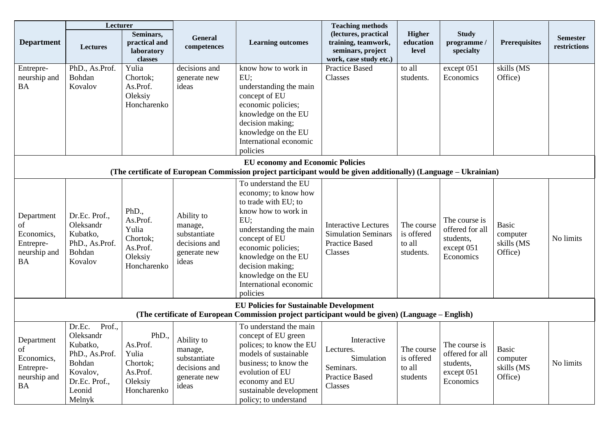|                                                                          | Lecturer                                                                                                               |                                                                              |                                                                                 |                                                                                                                                                                                                                                                                             | <b>Teaching methods</b>                                                                       |                                                 |                                                                          |                                                   |                                 |
|--------------------------------------------------------------------------|------------------------------------------------------------------------------------------------------------------------|------------------------------------------------------------------------------|---------------------------------------------------------------------------------|-----------------------------------------------------------------------------------------------------------------------------------------------------------------------------------------------------------------------------------------------------------------------------|-----------------------------------------------------------------------------------------------|-------------------------------------------------|--------------------------------------------------------------------------|---------------------------------------------------|---------------------------------|
| <b>Department</b>                                                        | <b>Lectures</b>                                                                                                        | Seminars,<br>practical and<br>laboratory<br>classes                          | General<br>competences                                                          | <b>Learning outcomes</b>                                                                                                                                                                                                                                                    | (lectures, practical<br>training, teamwork,<br>seminars, project<br>work, case study etc.)    | <b>Higher</b><br>education<br>level             | <b>Study</b><br>programme /<br>specialty                                 | <b>Prerequisites</b>                              | <b>Semester</b><br>restrictions |
| Entrepre-<br>neurship and<br><b>BA</b>                                   | PhD., As.Prof.<br>Bohdan<br>Kovalov                                                                                    | Yulia<br>Chortok;<br>As.Prof.<br>Oleksiy<br>Honcharenko                      | decisions and<br>generate new<br>ideas                                          | know how to work in<br>EU;<br>understanding the main<br>concept of EU<br>economic policies;<br>knowledge on the EU<br>decision making;<br>knowledge on the EU<br>International economic<br>policies                                                                         | <b>Practice Based</b><br>Classes                                                              | to all<br>students.                             | except 051<br>Economics                                                  | skills (MS<br>Office)                             |                                 |
|                                                                          |                                                                                                                        |                                                                              |                                                                                 | <b>EU</b> economy and Economic Policies<br>(The certificate of European Commission project participant would be given additionally) (Language – Ukrainian)                                                                                                                  |                                                                                               |                                                 |                                                                          |                                                   |                                 |
| Department<br>of<br>Economics,<br>Entrepre-<br>neurship and<br><b>BA</b> | Dr.Ec. Prof.,<br>Oleksandr<br>Kubatko,<br>PhD., As.Prof.<br>Bohdan<br>Kovalov                                          | PhD.,<br>As.Prof.<br>Yulia<br>Chortok;<br>As.Prof.<br>Oleksiy<br>Honcharenko | Ability to<br>manage,<br>substantiate<br>decisions and<br>generate new<br>ideas | To understand the EU<br>economy; to know how<br>to trade with EU; to<br>know how to work in<br>EU;<br>understanding the main<br>concept of EU<br>economic policies;<br>knowledge on the EU<br>decision making;<br>knowledge on the EU<br>International economic<br>policies | <b>Interactive Lectures</b><br><b>Simulation Seminars</b><br><b>Practice Based</b><br>Classes | The course<br>is offered<br>to all<br>students. | The course is<br>offered for all<br>students,<br>except 051<br>Economics | <b>Basic</b><br>computer<br>skills (MS<br>Office) | No limits                       |
|                                                                          |                                                                                                                        |                                                                              |                                                                                 | <b>EU Policies for Sustainable Development</b><br>(The certificate of European Commission project participant would be given) (Language – English)                                                                                                                          |                                                                                               |                                                 |                                                                          |                                                   |                                 |
| Department<br>of<br>Economics,<br>Entrepre-<br>neurship and<br><b>BA</b> | Prof.,<br>Dr.Ec.<br>Oleksandr<br>Kubatko,<br>PhD., As.Prof.<br>Bohdan<br>Kovalov,<br>Dr.Ec. Prof.,<br>Leonid<br>Melnyk | PhD.,<br>As.Prof.<br>Yulia<br>Chortok;<br>As.Prof.<br>Oleksiy<br>Honcharenko | Ability to<br>manage,<br>substantiate<br>decisions and<br>generate new<br>ideas | To understand the main<br>concept of EU green<br>polices; to know the EU<br>models of sustainable<br>business; to know the<br>evolution of EU<br>economy and EU<br>sustainable development<br>policy; to understand                                                         | Interactive<br>Lectures.<br>Simulation<br>Seminars.<br><b>Practice Based</b><br>Classes       | The course<br>is offered<br>to all<br>students  | The course is<br>offered for all<br>students,<br>except 051<br>Economics | <b>Basic</b><br>computer<br>skills (MS<br>Office) | No limits                       |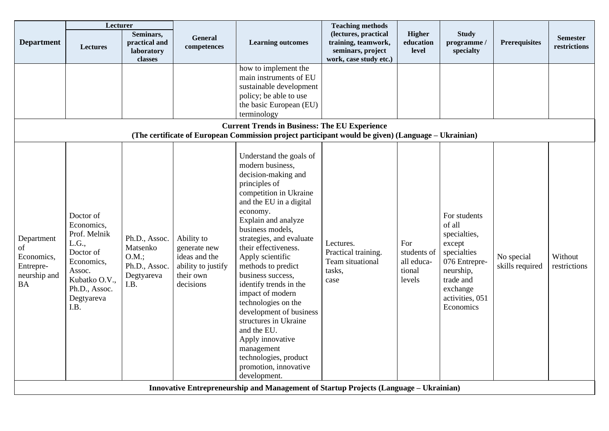|                                                                          | Lecturer                                                                                                                                      |                                                                          |                                                                                             |                                                                                                                                                                                                                                                                                                                                                                                                                                                                                                                                                                | <b>Teaching methods</b>                                                                    |                                                      |                                                                                                                                                        |                               |                                 |
|--------------------------------------------------------------------------|-----------------------------------------------------------------------------------------------------------------------------------------------|--------------------------------------------------------------------------|---------------------------------------------------------------------------------------------|----------------------------------------------------------------------------------------------------------------------------------------------------------------------------------------------------------------------------------------------------------------------------------------------------------------------------------------------------------------------------------------------------------------------------------------------------------------------------------------------------------------------------------------------------------------|--------------------------------------------------------------------------------------------|------------------------------------------------------|--------------------------------------------------------------------------------------------------------------------------------------------------------|-------------------------------|---------------------------------|
| <b>Department</b>                                                        | <b>Lectures</b>                                                                                                                               | Seminars,<br>practical and<br>laboratory<br>classes                      | <b>General</b><br>competences                                                               | <b>Learning outcomes</b>                                                                                                                                                                                                                                                                                                                                                                                                                                                                                                                                       | (lectures, practical<br>training, teamwork,<br>seminars, project<br>work, case study etc.) | <b>Higher</b><br>education<br>level                  | <b>Study</b><br>programme /<br>specialty                                                                                                               | <b>Prerequisites</b>          | <b>Semester</b><br>restrictions |
|                                                                          |                                                                                                                                               |                                                                          |                                                                                             | how to implement the<br>main instruments of EU<br>sustainable development<br>policy; be able to use<br>the basic European (EU)<br>terminology<br><b>Current Trends in Business: The EU Experience</b>                                                                                                                                                                                                                                                                                                                                                          |                                                                                            |                                                      |                                                                                                                                                        |                               |                                 |
|                                                                          |                                                                                                                                               |                                                                          |                                                                                             | (The certificate of European Commission project participant would be given) (Language – Ukrainian)                                                                                                                                                                                                                                                                                                                                                                                                                                                             |                                                                                            |                                                      |                                                                                                                                                        |                               |                                 |
| Department<br>of<br>Economics,<br>Entrepre-<br>neurship and<br><b>BA</b> | Doctor of<br>Economics,<br>Prof. Melnik<br>L.G.,<br>Doctor of<br>Economics,<br>Assoc.<br>Kubatko O.V.,<br>Ph.D., Assoc.<br>Degtyareva<br>I.B. | Ph.D., Assoc.<br>Matsenko<br>O.M.<br>Ph.D., Assoc.<br>Degtyareva<br>I.B. | Ability to<br>generate new<br>ideas and the<br>ability to justify<br>their own<br>decisions | Understand the goals of<br>modern business,<br>decision-making and<br>principles of<br>competition in Ukraine<br>and the EU in a digital<br>economy.<br>Explain and analyze<br>business models,<br>strategies, and evaluate<br>their effectiveness.<br>Apply scientific<br>methods to predict<br>business success,<br>identify trends in the<br>impact of modern<br>technologies on the<br>development of business<br>structures in Ukraine<br>and the EU.<br>Apply innovative<br>management<br>technologies, product<br>promotion, innovative<br>development. | Lectures.<br>Practical training.<br>Team situational<br>tasks,<br>case                     | For<br>students of<br>all educa-<br>tional<br>levels | For students<br>of all<br>specialties,<br>except<br>specialties<br>076 Entrepre-<br>neurship,<br>trade and<br>exchange<br>activities, 051<br>Economics | No special<br>skills required | Without<br>restrictions         |
|                                                                          |                                                                                                                                               |                                                                          |                                                                                             | Innovative Entrepreneurship and Management of Startup Projects (Language – Ukrainian)                                                                                                                                                                                                                                                                                                                                                                                                                                                                          |                                                                                            |                                                      |                                                                                                                                                        |                               |                                 |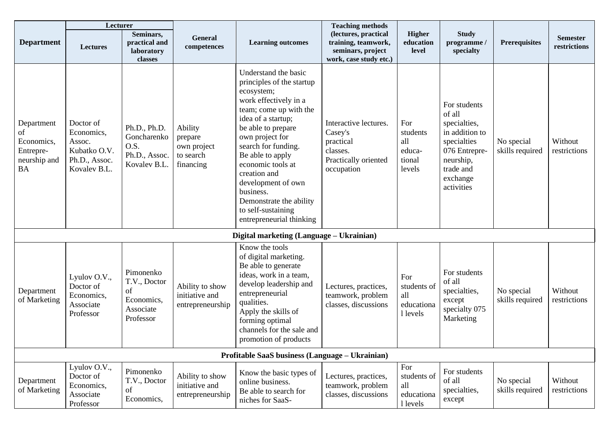|                                                                          | Lecturer                                                                           |                                                                         |                                                             |                                                                                                                                                                                                                                                                                                                                                                                   | <b>Teaching methods</b>                                                                         |                                                      |                                                                                                                                              |                               |                                 |
|--------------------------------------------------------------------------|------------------------------------------------------------------------------------|-------------------------------------------------------------------------|-------------------------------------------------------------|-----------------------------------------------------------------------------------------------------------------------------------------------------------------------------------------------------------------------------------------------------------------------------------------------------------------------------------------------------------------------------------|-------------------------------------------------------------------------------------------------|------------------------------------------------------|----------------------------------------------------------------------------------------------------------------------------------------------|-------------------------------|---------------------------------|
| <b>Department</b>                                                        | Lectures                                                                           | Seminars,<br>practical and<br>laboratory<br>classes                     | General<br>competences                                      | <b>Learning outcomes</b>                                                                                                                                                                                                                                                                                                                                                          | (lectures, practical<br>training, teamwork,<br>seminars, project<br>work, case study etc.)      | <b>Higher</b><br>education<br>level                  | <b>Study</b><br>programme /<br>specialty                                                                                                     | <b>Prerequisites</b>          | <b>Semester</b><br>restrictions |
| Department<br>of<br>Economics,<br>Entrepre-<br>neurship and<br><b>BA</b> | Doctor of<br>Economics,<br>Assoc.<br>Kubatko O.V.<br>Ph.D., Assoc.<br>Kovalev B.L. | Ph.D., Ph.D.<br>Goncharenko<br>O.S.<br>Ph.D., Assoc.<br>Kovalev B.L.    | Ability<br>prepare<br>own project<br>to search<br>financing | Understand the basic<br>principles of the startup<br>ecosystem;<br>work effectively in a<br>team; come up with the<br>idea of a startup;<br>be able to prepare<br>own project for<br>search for funding.<br>Be able to apply<br>economic tools at<br>creation and<br>development of own<br>business.<br>Demonstrate the ability<br>to self-sustaining<br>entrepreneurial thinking | Interactive lectures.<br>Casey's<br>practical<br>classes.<br>Practically oriented<br>occupation | For<br>students<br>all<br>educa-<br>tional<br>levels | For students<br>of all<br>specialties,<br>in addition to<br>specialties<br>076 Entrepre-<br>neurship,<br>trade and<br>exchange<br>activities | No special<br>skills required | Without<br>restrictions         |
|                                                                          |                                                                                    |                                                                         |                                                             | Digital marketing (Language – Ukrainian)                                                                                                                                                                                                                                                                                                                                          |                                                                                                 |                                                      |                                                                                                                                              |                               |                                 |
| Department<br>of Marketing                                               | Lyulov O.V.,<br>Doctor of<br>Economics,<br>Associate<br>Professor                  | Pimonenko<br>T.V., Doctor<br>of<br>Economics,<br>Associate<br>Professor | Ability to show<br>initiative and<br>entrepreneurship       | Know the tools<br>of digital marketing.<br>Be able to generate<br>ideas, work in a team,<br>develop leadership and<br>entrepreneurial<br>qualities.<br>Apply the skills of<br>forming optimal<br>channels for the sale and<br>promotion of products                                                                                                                               | Lectures, practices,<br>teamwork, problem<br>classes, discussions                               | For<br>students of<br>all<br>educationa<br>1 levels  | For students<br>of all<br>specialties,<br>except<br>specialty 075<br>Marketing                                                               | No special<br>skills required | Without<br>restrictions         |
|                                                                          |                                                                                    |                                                                         |                                                             | Profitable SaaS business (Language – Ukrainian)                                                                                                                                                                                                                                                                                                                                   |                                                                                                 |                                                      |                                                                                                                                              |                               |                                 |
| Department<br>of Marketing                                               | Lyulov O.V.,<br>Doctor of<br>Economics,<br>Associate<br>Professor                  | Pimonenko<br>T.V., Doctor<br>of<br>Economics,                           | Ability to show<br>initiative and<br>entrepreneurship       | Know the basic types of<br>online business.<br>Be able to search for<br>niches for SaaS-                                                                                                                                                                                                                                                                                          | Lectures, practices,<br>teamwork, problem<br>classes, discussions                               | For<br>students of<br>all<br>educationa<br>1 levels  | For students<br>of all<br>specialties,<br>except                                                                                             | No special<br>skills required | Without<br>restrictions         |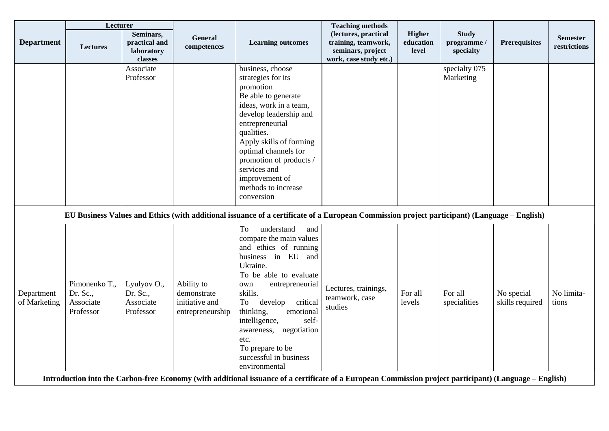|                            | Lecturer                                            |                                                     |                                                                 |                                                                                                                                                                                                                                                                                                                                                                   | <b>Teaching methods</b>                                                                    |                                     |                                          |                               |                                 |
|----------------------------|-----------------------------------------------------|-----------------------------------------------------|-----------------------------------------------------------------|-------------------------------------------------------------------------------------------------------------------------------------------------------------------------------------------------------------------------------------------------------------------------------------------------------------------------------------------------------------------|--------------------------------------------------------------------------------------------|-------------------------------------|------------------------------------------|-------------------------------|---------------------------------|
| <b>Department</b>          | <b>Lectures</b>                                     | Seminars,<br>practical and<br>laboratory<br>classes | General<br>competences                                          | <b>Learning outcomes</b>                                                                                                                                                                                                                                                                                                                                          | (lectures, practical<br>training, teamwork,<br>seminars, project<br>work, case study etc.) | <b>Higher</b><br>education<br>level | <b>Study</b><br>programme /<br>specialty | <b>Prerequisites</b>          | <b>Semester</b><br>restrictions |
|                            |                                                     | Associate<br>Professor                              |                                                                 | business, choose<br>strategies for its<br>promotion<br>Be able to generate<br>ideas, work in a team,<br>develop leadership and<br>entrepreneurial<br>qualities.<br>Apply skills of forming<br>optimal channels for<br>promotion of products /<br>services and<br>improvement of<br>methods to increase<br>conversion                                              |                                                                                            |                                     | specialty 075<br>Marketing               |                               |                                 |
|                            |                                                     |                                                     |                                                                 | EU Business Values and Ethics (with additional issuance of a certificate of a European Commission project participant) (Language – English)                                                                                                                                                                                                                       |                                                                                            |                                     |                                          |                               |                                 |
| Department<br>of Marketing | Pimonenko T.,<br>Dr. Sc.,<br>Associate<br>Professor | Lyulyov O.,<br>Dr. Sc.,<br>Associate<br>Professor   | Ability to<br>demonstrate<br>initiative and<br>entrepreneurship | understand<br>and<br>To<br>compare the main values<br>and ethics of running<br>business in EU and<br>Ukraine.<br>To be able to evaluate<br>entrepreneurial<br>own<br>skills.<br>To<br>develop<br>critical<br>thinking,<br>emotional<br>intelligence,<br>self-<br>negotiation<br>awareness,<br>etc.<br>To prepare to be<br>successful in business<br>environmental | Lectures, trainings,<br>teamwork, case<br>studies                                          | For all<br>levels                   | For all<br>specialities                  | No special<br>skills required | No limita-<br>tions             |
|                            |                                                     |                                                     |                                                                 | Introduction into the Carbon-free Economy (with additional issuance of a certificate of a European Commission project participant) (Language – English)                                                                                                                                                                                                           |                                                                                            |                                     |                                          |                               |                                 |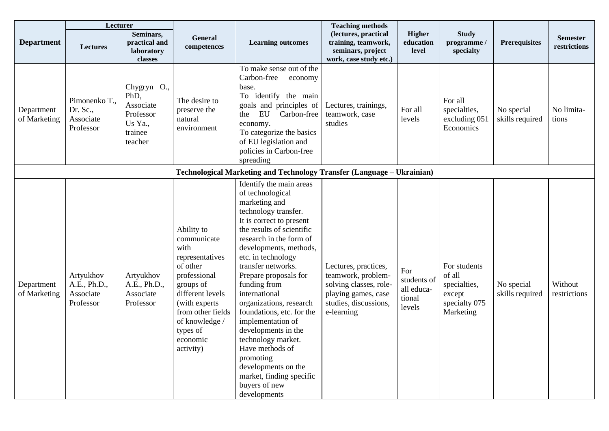|                            | Lecturer                                            |                                                                                |                                                                                                                                                                                                                 |                                                                                                                                                                                                                                                                                                                                                                                                                                                                                                                                                        | <b>Teaching methods</b>                                                                                                            |                                                      |                                                                                |                               |                                 |
|----------------------------|-----------------------------------------------------|--------------------------------------------------------------------------------|-----------------------------------------------------------------------------------------------------------------------------------------------------------------------------------------------------------------|--------------------------------------------------------------------------------------------------------------------------------------------------------------------------------------------------------------------------------------------------------------------------------------------------------------------------------------------------------------------------------------------------------------------------------------------------------------------------------------------------------------------------------------------------------|------------------------------------------------------------------------------------------------------------------------------------|------------------------------------------------------|--------------------------------------------------------------------------------|-------------------------------|---------------------------------|
| <b>Department</b>          | <b>Lectures</b>                                     | Seminars,<br>practical and<br>laboratory<br>classes                            | General<br>competences                                                                                                                                                                                          | <b>Learning outcomes</b>                                                                                                                                                                                                                                                                                                                                                                                                                                                                                                                               | (lectures, practical<br>training, teamwork,<br>seminars, project<br>work, case study etc.)                                         | <b>Higher</b><br>education<br>level                  | <b>Study</b><br>programme /<br>specialty                                       | <b>Prerequisites</b>          | <b>Semester</b><br>restrictions |
| Department<br>of Marketing | Pimonenko T.,<br>Dr. Sc.,<br>Associate<br>Professor | Chygryn O.,<br>PhD,<br>Associate<br>Professor<br>Us Ya.,<br>trainee<br>teacher | The desire to<br>preserve the<br>natural<br>environment                                                                                                                                                         | To make sense out of the<br>Carbon-free<br>economy<br>base.<br>To identify the main<br>goals and principles of<br>EU<br>Carbon-free<br>the<br>economy.<br>To categorize the basics<br>of EU legislation and<br>policies in Carbon-free<br>spreading                                                                                                                                                                                                                                                                                                    | Lectures, trainings,<br>teamwork, case<br>studies                                                                                  | For all<br>levels                                    | For all<br>specialties,<br>excluding 051<br>Economics                          | No special<br>skills required | No limita-<br>tions             |
|                            |                                                     |                                                                                |                                                                                                                                                                                                                 | Technological Marketing and Technology Transfer (Language - Ukrainian)                                                                                                                                                                                                                                                                                                                                                                                                                                                                                 |                                                                                                                                    |                                                      |                                                                                |                               |                                 |
| Department<br>of Marketing | Artyukhov<br>A.E., Ph.D.,<br>Associate<br>Professor | Artyukhov<br>A.E., Ph.D.,<br>Associate<br>Professor                            | Ability to<br>communicate<br>with<br>representatives<br>of other<br>professional<br>groups of<br>different levels<br>(with experts)<br>from other fields<br>of knowledge /<br>types of<br>economic<br>activity) | Identify the main areas<br>of technological<br>marketing and<br>technology transfer.<br>It is correct to present<br>the results of scientific<br>research in the form of<br>developments, methods,<br>etc. in technology<br>transfer networks.<br>Prepare proposals for<br>funding from<br>international<br>organizations, research<br>foundations, etc. for the<br>implementation of<br>developments in the<br>technology market.<br>Have methods of<br>promoting<br>developments on the<br>market, finding specific<br>buyers of new<br>developments | Lectures, practices,<br>teamwork, problem-<br>solving classes, role-<br>playing games, case<br>studies, discussions,<br>e-learning | For<br>students of<br>all educa-<br>tional<br>levels | For students<br>of all<br>specialties,<br>except<br>specialty 075<br>Marketing | No special<br>skills required | Without<br>restrictions         |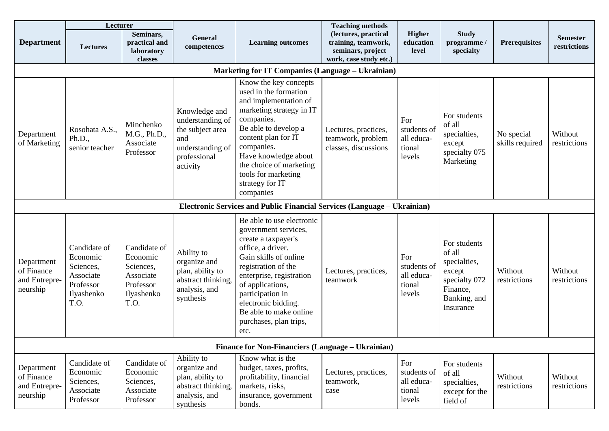|                                                       | Lecturer                                                                              |                                                                                       |                                                                                                              |                                                                                                                                                                                                                                                                                                      | <b>Teaching methods</b>                                                                    |                                                      |                                                                                                            |                               |                                 |
|-------------------------------------------------------|---------------------------------------------------------------------------------------|---------------------------------------------------------------------------------------|--------------------------------------------------------------------------------------------------------------|------------------------------------------------------------------------------------------------------------------------------------------------------------------------------------------------------------------------------------------------------------------------------------------------------|--------------------------------------------------------------------------------------------|------------------------------------------------------|------------------------------------------------------------------------------------------------------------|-------------------------------|---------------------------------|
| <b>Department</b>                                     | <b>Lectures</b>                                                                       | Seminars,<br>practical and<br>laboratory<br>classes                                   | General<br>competences                                                                                       | <b>Learning outcomes</b>                                                                                                                                                                                                                                                                             | (lectures, practical<br>training, teamwork,<br>seminars, project<br>work, case study etc.) | <b>Higher</b><br>education<br>level                  | <b>Study</b><br>programme /<br>specialty                                                                   | <b>Prerequisites</b>          | <b>Semester</b><br>restrictions |
|                                                       |                                                                                       |                                                                                       |                                                                                                              | <b>Marketing for IT Companies (Language - Ukrainian)</b>                                                                                                                                                                                                                                             |                                                                                            |                                                      |                                                                                                            |                               |                                 |
| Department<br>of Marketing                            | Rosohata A.S.,<br>Ph.D.,<br>senior teacher                                            | Minchenko<br>M.G., Ph.D.,<br>Associate<br>Professor                                   | Knowledge and<br>understanding of<br>the subject area<br>and<br>understanding of<br>professional<br>activity | Know the key concepts<br>used in the formation<br>and implementation of<br>marketing strategy in IT<br>companies.<br>Be able to develop a<br>content plan for IT<br>companies.<br>Have knowledge about<br>the choice of marketing<br>tools for marketing<br>strategy for IT<br>companies             | Lectures, practices,<br>teamwork, problem<br>classes, discussions                          | For<br>students of<br>all educa-<br>tional<br>levels | For students<br>of all<br>specialties,<br>except<br>specialty 075<br>Marketing                             | No special<br>skills required | Without<br>restrictions         |
|                                                       |                                                                                       |                                                                                       |                                                                                                              | <b>Electronic Services and Public Financial Services (Language – Ukrainian)</b>                                                                                                                                                                                                                      |                                                                                            |                                                      |                                                                                                            |                               |                                 |
| Department<br>of Finance<br>and Entrepre-<br>neurship | Candidate of<br>Economic<br>Sciences,<br>Associate<br>Professor<br>Ilyashenko<br>T.O. | Candidate of<br>Economic<br>Sciences,<br>Associate<br>Professor<br>Ilyashenko<br>T.O. | Ability to<br>organize and<br>plan, ability to<br>abstract thinking,<br>analysis, and<br>synthesis           | Be able to use electronic<br>government services,<br>create a taxpayer's<br>office, a driver.<br>Gain skills of online<br>registration of the<br>enterprise, registration<br>of applications,<br>participation in<br>electronic bidding.<br>Be able to make online<br>purchases, plan trips,<br>etc. | Lectures, practices,<br>teamwork                                                           | For<br>students of<br>all educa-<br>tional<br>levels | For students<br>of all<br>specialties,<br>except<br>specialty 072<br>Finance,<br>Banking, and<br>Insurance | Without<br>restrictions       | Without<br>restrictions         |
|                                                       |                                                                                       |                                                                                       |                                                                                                              | Finance for Non-Financiers (Language – Ukrainian)                                                                                                                                                                                                                                                    |                                                                                            |                                                      |                                                                                                            |                               |                                 |
| Department<br>of Finance<br>and Entrepre-<br>neurship | Candidate of<br>Economic<br>Sciences,<br>Associate<br>Professor                       | Candidate of<br>Economic<br>Sciences,<br>Associate<br>Professor                       | Ability to<br>organize and<br>plan, ability to<br>abstract thinking,<br>analysis, and<br>synthesis           | Know what is the<br>budget, taxes, profits,<br>profitability, financial<br>markets, risks,<br>insurance, government<br>bonds.                                                                                                                                                                        | Lectures, practices,<br>teamwork,<br>case                                                  | For<br>students of<br>all educa-<br>tional<br>levels | For students<br>of all<br>specialties,<br>except for the<br>field of                                       | Without<br>restrictions       | Without<br>restrictions         |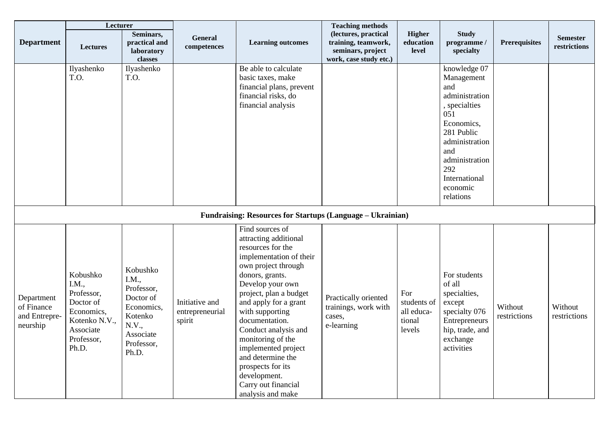|                                                       | Lecturer                                                                                                        |                                                                                                                    |                                             |                                                                                                                                                                                                                                                                                                                                                                                                                          | <b>Teaching methods</b>                                                                    |                                                      |                                                                                                                                                                                                     |                         |                                 |
|-------------------------------------------------------|-----------------------------------------------------------------------------------------------------------------|--------------------------------------------------------------------------------------------------------------------|---------------------------------------------|--------------------------------------------------------------------------------------------------------------------------------------------------------------------------------------------------------------------------------------------------------------------------------------------------------------------------------------------------------------------------------------------------------------------------|--------------------------------------------------------------------------------------------|------------------------------------------------------|-----------------------------------------------------------------------------------------------------------------------------------------------------------------------------------------------------|-------------------------|---------------------------------|
| <b>Department</b>                                     | <b>Lectures</b>                                                                                                 | Seminars,<br>practical and<br>laboratory<br>classes                                                                | <b>General</b><br>competences               | <b>Learning outcomes</b>                                                                                                                                                                                                                                                                                                                                                                                                 | (lectures, practical<br>training, teamwork,<br>seminars, project<br>work, case study etc.) | Higher<br>education<br>level                         | <b>Study</b><br>programme/<br>specialty                                                                                                                                                             | <b>Prerequisites</b>    | <b>Semester</b><br>restrictions |
|                                                       | Ilyashenko<br>T.O.                                                                                              | Ilyashenko<br>T.O.                                                                                                 |                                             | Be able to calculate<br>basic taxes, make<br>financial plans, prevent<br>financial risks, do<br>financial analysis                                                                                                                                                                                                                                                                                                       |                                                                                            |                                                      | knowledge 07<br>Management<br>and<br>administration<br>, specialties<br>051<br>Economics,<br>281 Public<br>administration<br>and<br>administration<br>292<br>International<br>economic<br>relations |                         |                                 |
|                                                       |                                                                                                                 |                                                                                                                    |                                             | Fundraising: Resources for Startups (Language - Ukrainian)                                                                                                                                                                                                                                                                                                                                                               |                                                                                            |                                                      |                                                                                                                                                                                                     |                         |                                 |
| Department<br>of Finance<br>and Entrepre-<br>neurship | Kobushko<br>I.M.,<br>Professor,<br>Doctor of<br>Economics,<br>Kotenko N.V.,<br>Associate<br>Professor,<br>Ph.D. | Kobushko<br>I.M.,<br>Professor,<br>Doctor of<br>Economics,<br>Kotenko<br>N.V.,<br>Associate<br>Professor,<br>Ph.D. | Initiative and<br>entrepreneurial<br>spirit | Find sources of<br>attracting additional<br>resources for the<br>implementation of their<br>own project through<br>donors, grants.<br>Develop your own<br>project, plan a budget<br>and apply for a grant<br>with supporting<br>documentation.<br>Conduct analysis and<br>monitoring of the<br>implemented project<br>and determine the<br>prospects for its<br>development.<br>Carry out financial<br>analysis and make | Practically oriented<br>trainings, work with<br>cases,<br>e-learning                       | For<br>students of<br>all educa-<br>tional<br>levels | For students<br>of all<br>specialties,<br>except<br>specialty 076<br>Entrepreneurs<br>hip, trade, and<br>exchange<br>activities                                                                     | Without<br>restrictions | Without<br>restrictions         |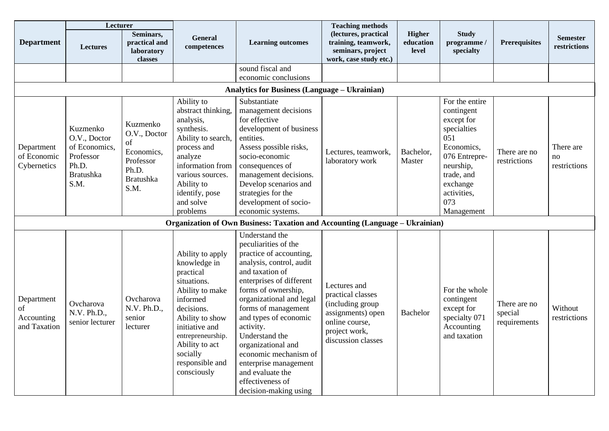|                                                | Lecturer                                                                                    |                                                                                                |                                                                                                                                                                                                                                     |                                                                                                                                                                                                                                                                                                                                                                                                                         | <b>Teaching methods</b>                                                                                                             |                                     |                                                                                                                                                                            |                                         |                                 |
|------------------------------------------------|---------------------------------------------------------------------------------------------|------------------------------------------------------------------------------------------------|-------------------------------------------------------------------------------------------------------------------------------------------------------------------------------------------------------------------------------------|-------------------------------------------------------------------------------------------------------------------------------------------------------------------------------------------------------------------------------------------------------------------------------------------------------------------------------------------------------------------------------------------------------------------------|-------------------------------------------------------------------------------------------------------------------------------------|-------------------------------------|----------------------------------------------------------------------------------------------------------------------------------------------------------------------------|-----------------------------------------|---------------------------------|
| <b>Department</b>                              | <b>Lectures</b>                                                                             | Seminars,<br>practical and<br>laboratory<br>classes                                            | <b>General</b><br>competences                                                                                                                                                                                                       | <b>Learning outcomes</b>                                                                                                                                                                                                                                                                                                                                                                                                | (lectures, practical<br>training, teamwork,<br>seminars, project<br>work, case study etc.)                                          | <b>Higher</b><br>education<br>level | <b>Study</b><br>programme /<br>specialty                                                                                                                                   | <b>Prerequisites</b>                    | <b>Semester</b><br>restrictions |
|                                                |                                                                                             |                                                                                                |                                                                                                                                                                                                                                     | sound fiscal and                                                                                                                                                                                                                                                                                                                                                                                                        |                                                                                                                                     |                                     |                                                                                                                                                                            |                                         |                                 |
|                                                |                                                                                             |                                                                                                |                                                                                                                                                                                                                                     | economic conclusions                                                                                                                                                                                                                                                                                                                                                                                                    |                                                                                                                                     |                                     |                                                                                                                                                                            |                                         |                                 |
|                                                |                                                                                             |                                                                                                |                                                                                                                                                                                                                                     | <b>Analytics for Business (Language – Ukrainian)</b>                                                                                                                                                                                                                                                                                                                                                                    |                                                                                                                                     |                                     |                                                                                                                                                                            |                                         |                                 |
| Department<br>of Economic<br>Cybernetics       | Kuzmenko<br>O.V., Doctor<br>of Economics,<br>Professor<br>Ph.D.<br><b>Bratushka</b><br>S.M. | Kuzmenko<br>O.V., Doctor<br>of<br>Economics,<br>Professor<br>Ph.D.<br><b>Bratushka</b><br>S.M. | Ability to<br>abstract thinking,<br>analysis,<br>synthesis.<br>Ability to search,<br>process and<br>analyze<br>information from<br>various sources.<br>Ability to<br>identify, pose<br>and solve<br>problems                        | Substantiate<br>management decisions<br>for effective<br>development of business<br>entities.<br>Assess possible risks,<br>socio-economic<br>consequences of<br>management decisions.<br>Develop scenarios and<br>strategies for the<br>development of socio-<br>economic systems.                                                                                                                                      | Lectures, teamwork,<br>laboratory work                                                                                              | Bachelor,<br>Master                 | For the entire<br>contingent<br>except for<br>specialties<br>051<br>Economics,<br>076 Entrepre-<br>neurship,<br>trade, and<br>exchange<br>activities,<br>073<br>Management | There are no<br>restrictions            | There are<br>no<br>restrictions |
|                                                |                                                                                             |                                                                                                |                                                                                                                                                                                                                                     | <b>Organization of Own Business: Taxation and Accounting (Language – Ukrainian)</b>                                                                                                                                                                                                                                                                                                                                     |                                                                                                                                     |                                     |                                                                                                                                                                            |                                         |                                 |
| Department<br>of<br>Accounting<br>and Taxation | Ovcharova<br>N.V. Ph.D.,<br>senior lecturer                                                 | Ovcharova<br>N.V. Ph.D.,<br>senior<br>lecturer                                                 | Ability to apply<br>knowledge in<br>practical<br>situations.<br>Ability to make<br>informed<br>decisions.<br>Ability to show<br>initiative and<br>entrepreneurship.<br>Ability to act<br>socially<br>responsible and<br>consciously | Understand the<br>peculiarities of the<br>practice of accounting,<br>analysis, control, audit<br>and taxation of<br>enterprises of different<br>forms of ownership,<br>organizational and legal<br>forms of management<br>and types of economic<br>activity.<br>Understand the<br>organizational and<br>economic mechanism of<br>enterprise management<br>and evaluate the<br>effectiveness of<br>decision-making using | Lectures and<br>practical classes<br>(including group<br>assignments) open<br>online course,<br>project work,<br>discussion classes | <b>Bachelor</b>                     | For the whole<br>contingent<br>except for<br>specialty 071<br>Accounting<br>and taxation                                                                                   | There are no<br>special<br>requirements | Without<br>restrictions         |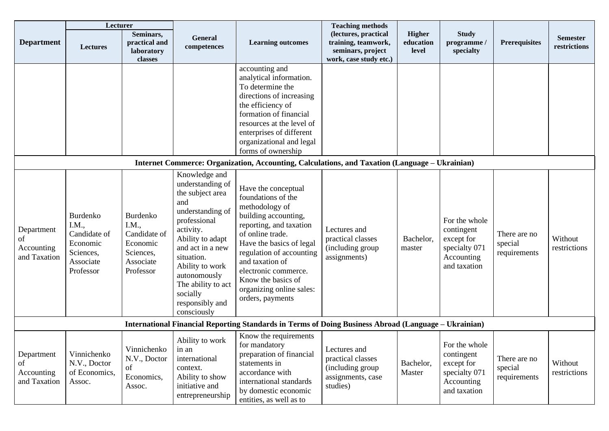|                                                | Lecturer                                                                             |                                                                                      |                                                                                                                                                                                                                                                                            |                                                                                                                                                                                                                                                                                                             | <b>Teaching methods</b>                                                                    |                                     |                                                                                          |                                         |                                 |
|------------------------------------------------|--------------------------------------------------------------------------------------|--------------------------------------------------------------------------------------|----------------------------------------------------------------------------------------------------------------------------------------------------------------------------------------------------------------------------------------------------------------------------|-------------------------------------------------------------------------------------------------------------------------------------------------------------------------------------------------------------------------------------------------------------------------------------------------------------|--------------------------------------------------------------------------------------------|-------------------------------------|------------------------------------------------------------------------------------------|-----------------------------------------|---------------------------------|
| <b>Department</b>                              | <b>Lectures</b>                                                                      | Seminars,<br>practical and<br>laboratory<br>classes                                  | General<br>competences                                                                                                                                                                                                                                                     | <b>Learning outcomes</b>                                                                                                                                                                                                                                                                                    | (lectures, practical<br>training, teamwork,<br>seminars, project<br>work, case study etc.) | <b>Higher</b><br>education<br>level | <b>Study</b><br>programme /<br>specialty                                                 | <b>Prerequisites</b>                    | <b>Semester</b><br>restrictions |
|                                                |                                                                                      |                                                                                      |                                                                                                                                                                                                                                                                            | accounting and<br>analytical information.<br>To determine the<br>directions of increasing<br>the efficiency of<br>formation of financial<br>resources at the level of<br>enterprises of different<br>organizational and legal<br>forms of ownership                                                         |                                                                                            |                                     |                                                                                          |                                         |                                 |
|                                                |                                                                                      |                                                                                      |                                                                                                                                                                                                                                                                            | Internet Commerce: Organization, Accounting, Calculations, and Taxation (Language – Ukrainian)                                                                                                                                                                                                              |                                                                                            |                                     |                                                                                          |                                         |                                 |
| Department<br>of<br>Accounting<br>and Taxation | Burdenko<br>I.M.,<br>Candidate of<br>Economic<br>Sciences,<br>Associate<br>Professor | Burdenko<br>I.M.,<br>Candidate of<br>Economic<br>Sciences,<br>Associate<br>Professor | Knowledge and<br>understanding of<br>the subject area<br>and<br>understanding of<br>professional<br>activity.<br>Ability to adapt<br>and act in a new<br>situation.<br>Ability to work<br>autonomously<br>The ability to act<br>socially<br>responsibly and<br>consciously | Have the conceptual<br>foundations of the<br>methodology of<br>building accounting,<br>reporting, and taxation<br>of online trade.<br>Have the basics of legal<br>regulation of accounting<br>and taxation of<br>electronic commerce.<br>Know the basics of<br>organizing online sales:<br>orders, payments | Lectures and<br>practical classes<br>(including group<br>assignments)                      | Bachelor,<br>master                 | For the whole<br>contingent<br>except for<br>specialty 071<br>Accounting<br>and taxation | There are no<br>special<br>requirements | Without<br>restrictions         |
|                                                |                                                                                      |                                                                                      |                                                                                                                                                                                                                                                                            | International Financial Reporting Standards in Terms of Doing Business Abroad (Language – Ukrainian)                                                                                                                                                                                                        |                                                                                            |                                     |                                                                                          |                                         |                                 |
| Department<br>of<br>Accounting<br>and Taxation | Vinnichenko<br>N.V., Doctor<br>of Economics,<br>Assoc.                               | Vinnichenko<br>N.V., Doctor<br>of<br>Economics,<br>Assoc.                            | Ability to work<br>in an<br>international<br>context.<br>Ability to show<br>initiative and<br>entrepreneurship                                                                                                                                                             | Know the requirements<br>for mandatory<br>preparation of financial<br>statements in<br>accordance with<br>international standards<br>by domestic economic<br>entities, as well as to                                                                                                                        | Lectures and<br>practical classes<br>(including group<br>assignments, case<br>studies)     | Bachelor,<br>Master                 | For the whole<br>contingent<br>except for<br>specialty 071<br>Accounting<br>and taxation | There are no<br>special<br>requirements | Without<br>restrictions         |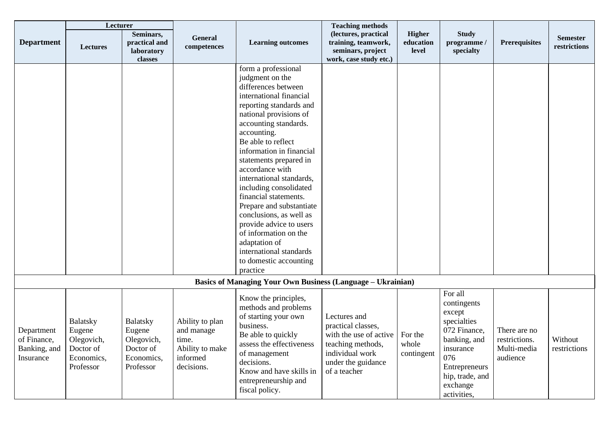|                                                        | Lecturer                                                                        |                                                                          |                                                                                     |                                                                                                                                                                                                                                                                                                                                                                                                                                                                                                                                                                  | <b>Teaching methods</b>                                                                                                                    |                                     |                                                                                                                                                                    |                                                          |                                 |
|--------------------------------------------------------|---------------------------------------------------------------------------------|--------------------------------------------------------------------------|-------------------------------------------------------------------------------------|------------------------------------------------------------------------------------------------------------------------------------------------------------------------------------------------------------------------------------------------------------------------------------------------------------------------------------------------------------------------------------------------------------------------------------------------------------------------------------------------------------------------------------------------------------------|--------------------------------------------------------------------------------------------------------------------------------------------|-------------------------------------|--------------------------------------------------------------------------------------------------------------------------------------------------------------------|----------------------------------------------------------|---------------------------------|
| <b>Department</b>                                      | <b>Lectures</b>                                                                 | Seminars,<br>practical and<br>laboratory<br>classes                      | General<br>competences                                                              | <b>Learning outcomes</b>                                                                                                                                                                                                                                                                                                                                                                                                                                                                                                                                         | (lectures, practical<br>training, teamwork,<br>seminars, project<br>work, case study etc.)                                                 | <b>Higher</b><br>education<br>level | <b>Study</b><br>programme /<br>specialty                                                                                                                           | <b>Prerequisites</b>                                     | <b>Semester</b><br>restrictions |
|                                                        |                                                                                 |                                                                          |                                                                                     | form a professional<br>judgment on the<br>differences between<br>international financial<br>reporting standards and<br>national provisions of<br>accounting standards.<br>accounting.<br>Be able to reflect<br>information in financial<br>statements prepared in<br>accordance with<br>international standards,<br>including consolidated<br>financial statements.<br>Prepare and substantiate<br>conclusions, as well as<br>provide advice to users<br>of information on the<br>adaptation of<br>international standards<br>to domestic accounting<br>practice |                                                                                                                                            |                                     |                                                                                                                                                                    |                                                          |                                 |
|                                                        |                                                                                 |                                                                          |                                                                                     | <b>Basics of Managing Your Own Business (Language - Ukrainian)</b>                                                                                                                                                                                                                                                                                                                                                                                                                                                                                               |                                                                                                                                            |                                     |                                                                                                                                                                    |                                                          |                                 |
| Department<br>of Finance,<br>Banking, and<br>Insurance | <b>Balatsky</b><br>Eugene<br>Olegovich,<br>Doctor of<br>Economics,<br>Professor | Balatsky<br>Eugene<br>Olegovich,<br>Doctor of<br>Economics,<br>Professor | Ability to plan<br>and manage<br>time.<br>Ability to make<br>informed<br>decisions. | Know the principles,<br>methods and problems<br>of starting your own<br>business.<br>Be able to quickly<br>assess the effectiveness<br>of management<br>decisions.<br>Know and have skills in<br>entrepreneurship and<br>fiscal policy.                                                                                                                                                                                                                                                                                                                          | Lectures and<br>practical classes,<br>with the use of active<br>teaching methods,<br>individual work<br>under the guidance<br>of a teacher | For the<br>whole<br>contingent      | For all<br>contingents<br>except<br>specialties<br>072 Finance,<br>banking, and<br>insurance<br>076<br>Entrepreneurs<br>hip, trade, and<br>exchange<br>activities, | There are no<br>restrictions.<br>Multi-media<br>audience | Without<br>restrictions         |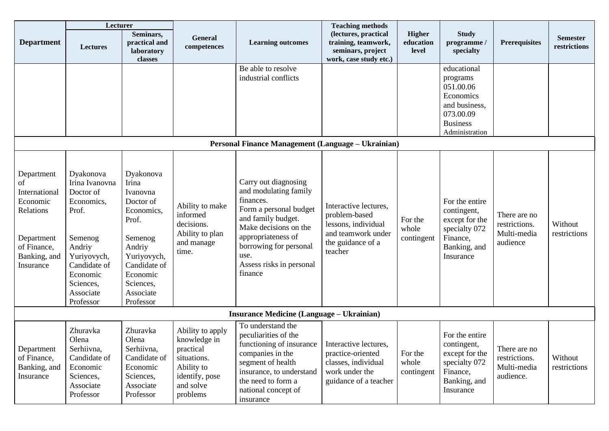| Lecturer                                                                                                             |                                                                                                                                                                        |                                                                                                                                                                           |                                                                                                                       |                                                                                                                                                                                                                                    | <b>Teaching methods</b>                                                                                             |                                     |                                                                                                                      |                                                           |                                 |
|----------------------------------------------------------------------------------------------------------------------|------------------------------------------------------------------------------------------------------------------------------------------------------------------------|---------------------------------------------------------------------------------------------------------------------------------------------------------------------------|-----------------------------------------------------------------------------------------------------------------------|------------------------------------------------------------------------------------------------------------------------------------------------------------------------------------------------------------------------------------|---------------------------------------------------------------------------------------------------------------------|-------------------------------------|----------------------------------------------------------------------------------------------------------------------|-----------------------------------------------------------|---------------------------------|
| <b>Department</b>                                                                                                    | <b>Lectures</b>                                                                                                                                                        | Seminars,<br>practical and<br>laboratory<br>classes                                                                                                                       | General<br>competences                                                                                                | <b>Learning outcomes</b>                                                                                                                                                                                                           | (lectures, practical<br>training, teamwork,<br>seminars, project<br>work, case study etc.)                          | <b>Higher</b><br>education<br>level | <b>Study</b><br>programme/<br>specialty                                                                              | <b>Prerequisites</b>                                      | <b>Semester</b><br>restrictions |
|                                                                                                                      |                                                                                                                                                                        |                                                                                                                                                                           |                                                                                                                       | Be able to resolve<br>industrial conflicts<br>Personal Finance Management (Language – Ukrainian)                                                                                                                                   |                                                                                                                     |                                     | educational<br>programs<br>051.00.06<br>Economics<br>and business,<br>073.00.09<br><b>Business</b><br>Administration |                                                           |                                 |
|                                                                                                                      |                                                                                                                                                                        |                                                                                                                                                                           |                                                                                                                       |                                                                                                                                                                                                                                    |                                                                                                                     |                                     |                                                                                                                      |                                                           |                                 |
| Department<br>of<br>International<br>Economic<br>Relations<br>Department<br>of Finance,<br>Banking, and<br>Insurance | Dyakonova<br>Irina Ivanovna<br>Doctor of<br>Economics,<br>Prof.<br>Semenog<br>Andriy<br>Yuriyovych,<br>Candidate of<br>Economic<br>Sciences,<br>Associate<br>Professor | Dyakonova<br>Irina<br>Ivanovna<br>Doctor of<br>Economics,<br>Prof.<br>Semenog<br>Andriy<br>Yuriyovych,<br>Candidate of<br>Economic<br>Sciences,<br>Associate<br>Professor | Ability to make<br>informed<br>decisions.<br>Ability to plan<br>and manage<br>time.                                   | Carry out diagnosing<br>and modulating family<br>finances.<br>Form a personal budget<br>and family budget.<br>Make decisions on the<br>appropriateness of<br>borrowing for personal<br>use.<br>Assess risks in personal<br>finance | Interactive lectures.<br>problem-based<br>lessons, individual<br>and teamwork under<br>the guidance of a<br>teacher | For the<br>whole<br>contingent      | For the entire<br>contingent,<br>except for the<br>specialty 072<br>Finance,<br>Banking, and<br>Insurance            | There are no<br>restrictions.<br>Multi-media<br>audience  | Without<br>restrictions         |
|                                                                                                                      |                                                                                                                                                                        |                                                                                                                                                                           |                                                                                                                       | <b>Insurance Medicine (Language – Ukrainian)</b>                                                                                                                                                                                   |                                                                                                                     |                                     |                                                                                                                      |                                                           |                                 |
| Department<br>of Finance,<br>Banking, and<br>Insurance                                                               | Zhuravka<br>Olena<br>Serhiivna,<br>Candidate of<br>Economic<br>Sciences,<br>Associate<br>Professor                                                                     | Zhuravka<br>Olena<br>Serhiivna,<br>Candidate of<br>Economic<br>Sciences,<br>Associate<br>Professor                                                                        | Ability to apply<br>knowledge in<br>practical<br>situations.<br>Ability to<br>identify, pose<br>and solve<br>problems | To understand the<br>peculiarities of the<br>functioning of insurance   Interactive lectures,<br>companies in the<br>segment of health<br>insurance, to understand<br>the need to form a<br>national concept of<br>insurance       | practice-oriented<br>classes, individual<br>work under the<br>guidance of a teacher                                 | For the<br>whole<br>contingent      | For the entire<br>contingent,<br>except for the<br>specialty 072<br>Finance,<br>Banking, and<br>Insurance            | There are no<br>restrictions.<br>Multi-media<br>audience. | Without<br>restrictions         |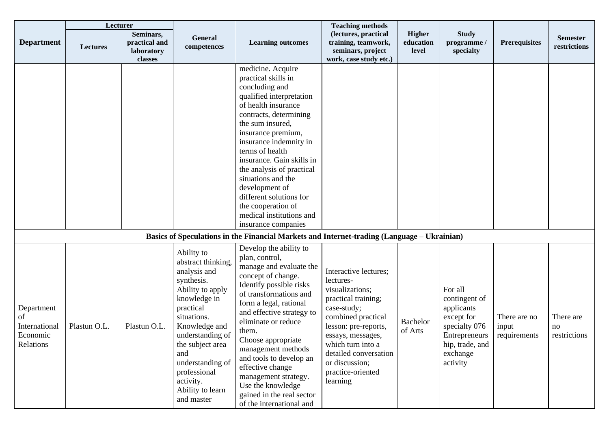|                                                            | Lecturer        |                                                     |                                                                                                                                                                                                                                                                                   |                                                                                                                                                                                                                                                                                                                                                                                                                                        | <b>Teaching methods</b>                                                                                                                                                                                                                                         |                                     |                                                                                                                                   |                                       |                                 |
|------------------------------------------------------------|-----------------|-----------------------------------------------------|-----------------------------------------------------------------------------------------------------------------------------------------------------------------------------------------------------------------------------------------------------------------------------------|----------------------------------------------------------------------------------------------------------------------------------------------------------------------------------------------------------------------------------------------------------------------------------------------------------------------------------------------------------------------------------------------------------------------------------------|-----------------------------------------------------------------------------------------------------------------------------------------------------------------------------------------------------------------------------------------------------------------|-------------------------------------|-----------------------------------------------------------------------------------------------------------------------------------|---------------------------------------|---------------------------------|
| <b>Department</b>                                          | <b>Lectures</b> | Seminars,<br>practical and<br>laboratory<br>classes | General<br>competences                                                                                                                                                                                                                                                            | <b>Learning outcomes</b>                                                                                                                                                                                                                                                                                                                                                                                                               | (lectures, practical<br>training, teamwork,<br>seminars, project<br>work, case study etc.)                                                                                                                                                                      | <b>Higher</b><br>education<br>level | <b>Study</b><br>programme /<br>specialty                                                                                          | <b>Prerequisites</b>                  | <b>Semester</b><br>restrictions |
|                                                            |                 |                                                     |                                                                                                                                                                                                                                                                                   | medicine. Acquire<br>practical skills in<br>concluding and<br>qualified interpretation<br>of health insurance<br>contracts, determining<br>the sum insured,<br>insurance premium,<br>insurance indemnity in<br>terms of health<br>insurance. Gain skills in<br>the analysis of practical<br>situations and the<br>development of<br>different solutions for<br>the cooperation of<br>medical institutions and<br>insurance companies   |                                                                                                                                                                                                                                                                 |                                     |                                                                                                                                   |                                       |                                 |
|                                                            |                 |                                                     |                                                                                                                                                                                                                                                                                   | Basics of Speculations in the Financial Markets and Internet-trading (Language – Ukrainian)                                                                                                                                                                                                                                                                                                                                            |                                                                                                                                                                                                                                                                 |                                     |                                                                                                                                   |                                       |                                 |
| Department<br>of<br>International<br>Economic<br>Relations | Plastun O.L.    | Plastun O.L.                                        | Ability to<br>abstract thinking,<br>analysis and<br>synthesis.<br>Ability to apply<br>knowledge in<br>practical<br>situations.<br>Knowledge and<br>understanding of<br>the subject area<br>and<br>understanding of<br>professional<br>activity.<br>Ability to learn<br>and master | Develop the ability to<br>plan, control,<br>manage and evaluate the<br>concept of change.<br>Identify possible risks<br>of transformations and<br>form a legal, rational<br>and effective strategy to<br>eliminate or reduce<br>them.<br>Choose appropriate<br>management methods<br>and tools to develop an<br>effective change<br>management strategy.<br>Use the knowledge<br>gained in the real sector<br>of the international and | Interactive lectures;<br>lectures-<br>visualizations;<br>practical training;<br>case-study;<br>combined practical<br>lesson: pre-reports,<br>essays, messages,<br>which turn into a<br>detailed conversation<br>or discussion;<br>practice-oriented<br>learning | <b>Bachelor</b><br>of Arts          | For all<br>contingent of<br>applicants<br>except for<br>specialty 076<br>Entrepreneurs<br>hip, trade, and<br>exchange<br>activity | There are no<br>input<br>requirements | There are<br>no<br>restrictions |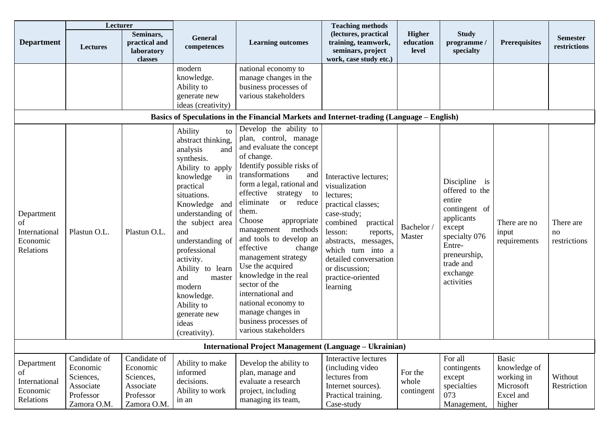|                                                            | Lecturer                                                                       |                                                                                |                                                                                                                                                                                                                                                                                                                                                                                  |                                                                                                                                                                                                                                                                                                                                                                                                                                                                                                                                 | <b>Teaching methods</b>                                                                                                                                                                                                                                           |                                     |                                                                                                                                                                      |                                                                                |                                 |
|------------------------------------------------------------|--------------------------------------------------------------------------------|--------------------------------------------------------------------------------|----------------------------------------------------------------------------------------------------------------------------------------------------------------------------------------------------------------------------------------------------------------------------------------------------------------------------------------------------------------------------------|---------------------------------------------------------------------------------------------------------------------------------------------------------------------------------------------------------------------------------------------------------------------------------------------------------------------------------------------------------------------------------------------------------------------------------------------------------------------------------------------------------------------------------|-------------------------------------------------------------------------------------------------------------------------------------------------------------------------------------------------------------------------------------------------------------------|-------------------------------------|----------------------------------------------------------------------------------------------------------------------------------------------------------------------|--------------------------------------------------------------------------------|---------------------------------|
| <b>Department</b>                                          | Lectures                                                                       | Seminars,<br>practical and<br>laboratory<br>classes                            | <b>General</b><br>competences                                                                                                                                                                                                                                                                                                                                                    | <b>Learning outcomes</b>                                                                                                                                                                                                                                                                                                                                                                                                                                                                                                        | (lectures, practical<br>training, teamwork,<br>seminars, project<br>work, case study etc.)                                                                                                                                                                        | <b>Higher</b><br>education<br>level | <b>Study</b><br>programme /<br>specialty                                                                                                                             | <b>Prerequisites</b>                                                           | <b>Semester</b><br>restrictions |
|                                                            |                                                                                |                                                                                | modern<br>knowledge.<br>Ability to<br>generate new<br>ideas (creativity)                                                                                                                                                                                                                                                                                                         | national economy to<br>manage changes in the<br>business processes of<br>various stakeholders<br>Basics of Speculations in the Financial Markets and Internet-trading (Language – English)<br>Develop the ability to                                                                                                                                                                                                                                                                                                            |                                                                                                                                                                                                                                                                   |                                     |                                                                                                                                                                      |                                                                                |                                 |
| Department<br>of<br>International<br>Economic<br>Relations | Plastun O.L.                                                                   | Plastun O.L.                                                                   | Ability<br>to<br>abstract thinking,<br>analysis<br>and<br>synthesis.<br>Ability to apply<br>knowledge<br>in<br>practical<br>situations.<br>Knowledge<br>and<br>understanding of<br>the subject area<br>and<br>understanding of<br>professional<br>activity.<br>Ability to learn<br>and<br>master<br>modern<br>knowledge.<br>Ability to<br>generate new<br>ideas<br>(creativity). | plan, control, manage<br>and evaluate the concept<br>of change.<br>Identify possible risks of<br>transformations<br>and<br>form a legal, rational and<br>effective<br>strategy to<br>eliminate<br>or reduce<br>them.<br>Choose<br>appropriate<br>management<br>methods<br>and tools to develop an<br>effective<br>change<br>management strategy<br>Use the acquired<br>knowledge in the real<br>sector of the<br>international and<br>national economy to<br>manage changes in<br>business processes of<br>various stakeholders | Interactive lectures;<br>visualization<br>lectures;<br>practical classes;<br>case-study;<br>combined<br>practical<br>lesson:<br>reports,<br>abstracts, messages,<br>which turn into a<br>detailed conversation<br>or discussion;<br>practice-oriented<br>learning | Bachelor<br>Master                  | Discipline is<br>offered to the<br>entire<br>contingent of<br>applicants<br>except<br>specialty 076<br>Entre-<br>preneurship,<br>trade and<br>exchange<br>activities | There are no<br>input<br>requirements                                          | There are<br>no<br>restrictions |
|                                                            |                                                                                |                                                                                |                                                                                                                                                                                                                                                                                                                                                                                  | <b>International Project Management (Language - Ukrainian)</b>                                                                                                                                                                                                                                                                                                                                                                                                                                                                  |                                                                                                                                                                                                                                                                   |                                     |                                                                                                                                                                      |                                                                                |                                 |
| Department<br>of<br>International<br>Economic<br>Relations | Candidate of<br>Economic<br>Sciences,<br>Associate<br>Professor<br>Zamora O.M. | Candidate of<br>Economic<br>Sciences,<br>Associate<br>Professor<br>Zamora O.M. | Ability to make<br>informed<br>decisions.<br>Ability to work<br>in an                                                                                                                                                                                                                                                                                                            | Develop the ability to<br>plan, manage and<br>evaluate a research<br>project, including<br>managing its team,                                                                                                                                                                                                                                                                                                                                                                                                                   | Interactive lectures<br>(including video<br>lectures from<br>Internet sources).<br>Practical training.<br>Case-study                                                                                                                                              | For the<br>whole<br>contingent      | For all<br>contingents<br>except<br>specialties<br>073<br>Management,                                                                                                | <b>Basic</b><br>knowledge of<br>working in<br>Microsoft<br>Excel and<br>higher | Without<br>Restriction          |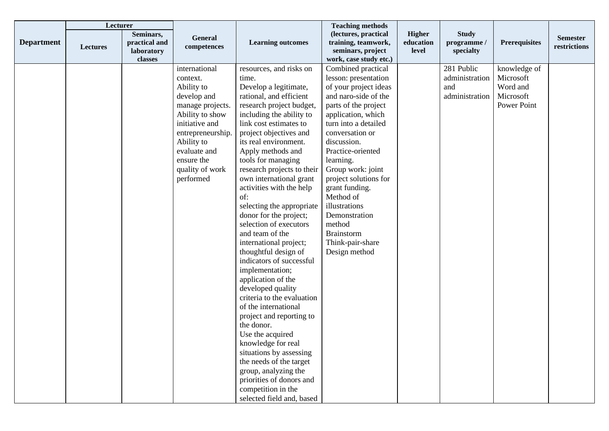|                   | Lecturer        |                                                     |                                                                                                                                                                                                                  |                                                                                                                                                                                                                                                                                                                                                                                                                                                                                                                                                                                                                                                                                                                                                                                                                                                                                                                         | <b>Teaching methods</b>                                                                                                                                                                                                                                                                                                                                                                                                  |                                     |                                                       |                                                                   |                                 |
|-------------------|-----------------|-----------------------------------------------------|------------------------------------------------------------------------------------------------------------------------------------------------------------------------------------------------------------------|-------------------------------------------------------------------------------------------------------------------------------------------------------------------------------------------------------------------------------------------------------------------------------------------------------------------------------------------------------------------------------------------------------------------------------------------------------------------------------------------------------------------------------------------------------------------------------------------------------------------------------------------------------------------------------------------------------------------------------------------------------------------------------------------------------------------------------------------------------------------------------------------------------------------------|--------------------------------------------------------------------------------------------------------------------------------------------------------------------------------------------------------------------------------------------------------------------------------------------------------------------------------------------------------------------------------------------------------------------------|-------------------------------------|-------------------------------------------------------|-------------------------------------------------------------------|---------------------------------|
| <b>Department</b> | <b>Lectures</b> | Seminars,<br>practical and<br>laboratory<br>classes | General<br>competences                                                                                                                                                                                           | <b>Learning outcomes</b>                                                                                                                                                                                                                                                                                                                                                                                                                                                                                                                                                                                                                                                                                                                                                                                                                                                                                                | (lectures, practical<br>training, teamwork,<br>seminars, project<br>work, case study etc.)                                                                                                                                                                                                                                                                                                                               | <b>Higher</b><br>education<br>level | <b>Study</b><br>programme /<br>specialty              | <b>Prerequisites</b>                                              | <b>Semester</b><br>restrictions |
|                   |                 |                                                     | international<br>context.<br>Ability to<br>develop and<br>manage projects.<br>Ability to show<br>initiative and<br>entrepreneurship.<br>Ability to<br>evaluate and<br>ensure the<br>quality of work<br>performed | resources, and risks on<br>time.<br>Develop a legitimate,<br>rational, and efficient<br>research project budget,<br>including the ability to<br>link cost estimates to<br>project objectives and<br>its real environment.<br>Apply methods and<br>tools for managing<br>research projects to their<br>own international grant<br>activities with the help<br>of:<br>selecting the appropriate<br>donor for the project;<br>selection of executors<br>and team of the<br>international project;<br>thoughtful design of<br>indicators of successful<br>implementation;<br>application of the<br>developed quality<br>criteria to the evaluation<br>of the international<br>project and reporting to<br>the donor.<br>Use the acquired<br>knowledge for real<br>situations by assessing<br>the needs of the target<br>group, analyzing the<br>priorities of donors and<br>competition in the<br>selected field and, based | Combined practical<br>lesson: presentation<br>of your project ideas<br>and naro-side of the<br>parts of the project<br>application, which<br>turn into a detailed<br>conversation or<br>discussion.<br>Practice-oriented<br>learning.<br>Group work: joint<br>project solutions for<br>grant funding.<br>Method of<br>illustrations<br>Demonstration<br>method<br><b>Brainstorm</b><br>Think-pair-share<br>Design method |                                     | 281 Public<br>administration<br>and<br>administration | knowledge of<br>Microsoft<br>Word and<br>Microsoft<br>Power Point |                                 |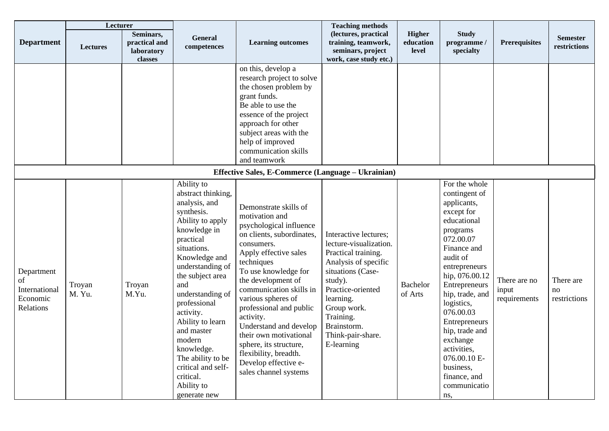|                                                            | Lecturer         |                                                            |                                                                                                                                                                                                                                                                                                                                                                                                  |                                                                                                                                                                                                                                                                                                                                                                                                                                                     | <b>Teaching methods</b>                                                                                                                                                                                                                        |                                     |                                                                                                                                                                                                                                                                                                                                                                    |                                       |                                 |
|------------------------------------------------------------|------------------|------------------------------------------------------------|--------------------------------------------------------------------------------------------------------------------------------------------------------------------------------------------------------------------------------------------------------------------------------------------------------------------------------------------------------------------------------------------------|-----------------------------------------------------------------------------------------------------------------------------------------------------------------------------------------------------------------------------------------------------------------------------------------------------------------------------------------------------------------------------------------------------------------------------------------------------|------------------------------------------------------------------------------------------------------------------------------------------------------------------------------------------------------------------------------------------------|-------------------------------------|--------------------------------------------------------------------------------------------------------------------------------------------------------------------------------------------------------------------------------------------------------------------------------------------------------------------------------------------------------------------|---------------------------------------|---------------------------------|
| <b>Department</b>                                          | <b>Lectures</b>  | Seminars,<br>practical and<br><b>laboratory</b><br>classes | General<br>competences                                                                                                                                                                                                                                                                                                                                                                           | <b>Learning outcomes</b>                                                                                                                                                                                                                                                                                                                                                                                                                            | (lectures, practical<br>training, teamwork,<br>seminars, project<br>work, case study etc.)                                                                                                                                                     | <b>Higher</b><br>education<br>level | <b>Study</b><br>programme /<br>specialty                                                                                                                                                                                                                                                                                                                           | <b>Prerequisites</b>                  | <b>Semester</b><br>restrictions |
|                                                            |                  |                                                            |                                                                                                                                                                                                                                                                                                                                                                                                  | on this, develop a<br>research project to solve<br>the chosen problem by<br>grant funds.<br>Be able to use the<br>essence of the project<br>approach for other<br>subject areas with the<br>help of improved<br>communication skills<br>and teamwork                                                                                                                                                                                                |                                                                                                                                                                                                                                                |                                     |                                                                                                                                                                                                                                                                                                                                                                    |                                       |                                 |
|                                                            |                  |                                                            |                                                                                                                                                                                                                                                                                                                                                                                                  | Effective Sales, E-Commerce (Language - Ukrainian)                                                                                                                                                                                                                                                                                                                                                                                                  |                                                                                                                                                                                                                                                |                                     |                                                                                                                                                                                                                                                                                                                                                                    |                                       |                                 |
| Department<br>of<br>International<br>Economic<br>Relations | Troyan<br>M. Yu. | Troyan<br>M.Yu.                                            | Ability to<br>abstract thinking,<br>analysis, and<br>synthesis.<br>Ability to apply<br>knowledge in<br>practical<br>situations.<br>Knowledge and<br>understanding of<br>the subject area<br>and<br>understanding of<br>professional<br>activity.<br>Ability to learn<br>and master<br>modern<br>knowledge.<br>The ability to be<br>critical and self-<br>critical.<br>Ability to<br>generate new | Demonstrate skills of<br>motivation and<br>psychological influence<br>on clients, subordinates,<br>consumers.<br>Apply effective sales<br>techniques<br>To use knowledge for<br>the development of<br>communication skills in<br>various spheres of<br>professional and public<br>activity.<br>Understand and develop<br>their own motivational<br>sphere, its structure,<br>flexibility, breadth.<br>Develop effective e-<br>sales channel systems | Interactive lectures;<br>lecture-visualization.<br>Practical training.<br>Analysis of specific<br>situations (Case-<br>study).<br>Practice-oriented<br>learning.<br>Group work.<br>Training.<br>Brainstorm.<br>Think-pair-share.<br>E-learning | <b>Bachelor</b><br>of Arts          | For the whole<br>contingent of<br>applicants,<br>except for<br>educational<br>programs<br>072.00.07<br>Finance and<br>audit of<br>entrepreneurs<br>hip, 076.00.12<br>Entrepreneurs<br>hip, trade, and<br>logistics,<br>076.00.03<br>Entrepreneurs<br>hip, trade and<br>exchange<br>activities,<br>076.00.10 E-<br>business,<br>finance, and<br>communicatio<br>ns, | There are no<br>input<br>requirements | There are<br>no<br>restrictions |